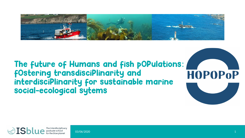

### The future of Humans and fish pOPulations: fOstering transdisciPlinarity and **HOPOPOP** interdisciPlinarity for sustainable marine social-ecological sytems



03/06/2020 1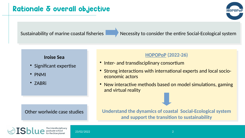### Rationale & overall objective

Sustainability of marine coastal fisheries Necessity to consider the entire Social-Ecological system

#### **Iroise Sea**

- Significant expertise
- PNMI
- ZABRi

#### Other worlwide case studies

### **HOPOPoP (2022-26)**

- Inter- and transdisciplinary consortium
- Strong interactions with international experts and local socioeconomic actors
- New interactive methods based on model simulations, gaming and virtual reality

**Understand the dynamics of coastal Social-Ecological system and support the transition to sustainability**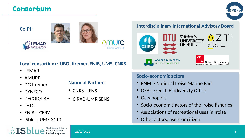### Consortium



#### **Co-PI :**







### **Local consortium : UBO, Ifremer, ENIB, UMS, CNRS**

- IFMAR
- AMURE
- DG Ifremer

**National Partners**

- DYNECO
- DECOD/LBH
- LETG
- ENIB CERV
- ISblue, UMS 3113

#### The interdisciplinary graduate school<br>for the blue planet

- CNRS-LIENS
- CIRAD-UMR SENS

### **Interdisciplinary International Advisory Board**



### **Socio-economic actors**

- PNMI National Iroise Marine Park
- OFB French Biodiversity Office
- Oceanopolis
- Socio-economic actors of the Iroise fisheries
- Associations of recreational uses in Iroise
- Other actors, users or citizen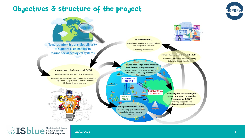### Objectives & structure of the project





The interdisciplinary<br>for the blue planet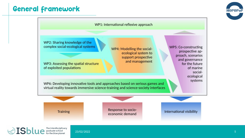

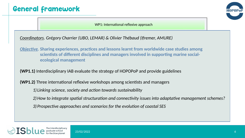

WP1: International reflexive approach

*Coordinators. Grégory Charrier (UBO, LEMAR) & Olivier Thébaud (Ifremer, AMURE)*

*Objective.* **Sharing experiences, practices and lessons learnt from worldwide case studies among scientists of different disciplines and managers involved in supporting marine social ecological management**

**(WP1.1)** Interdisciplinary IAB evaluate the strategy of HOPOPoP and provide guidelines

**(WP1.2)** Three international reflexive workshops among scientists and managers

*1) Linking science, society and action towards sustainability*

*2)How to integrate spatial structuration and connectivity issues into adaptative management schemes?*

*3) Prospective approaches and scenarios for the evolution of coastal SES*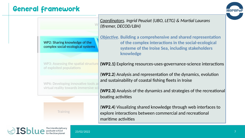

|                                                                    | Coordinators. Ingrid Peuziat (UBO, LETG) & Martial Laurans<br>(Ifremer, DECOD/LBH)                                                                                                             |
|--------------------------------------------------------------------|------------------------------------------------------------------------------------------------------------------------------------------------------------------------------------------------|
| WP2: Sharing knowledge of the<br>complex social-ecological systems | <b>Objective. Building a comprehensive and shared representation</b><br>of the complex interactions in the social-ecological<br>systeme of the Iroise Sea, including stakeholders<br>knowledge |
| WP3: Assessing the spatial structure<br>of exploited populations   | <b>(WP2.1)</b> Exploring resources-uses-governance-science interactions                                                                                                                        |
| WP6: Developing innovative tools at                                | (WP2.2) Analysis and representation of the dynamics, evolution<br>and sustainability of coastal fishing fleets in Iroise                                                                       |
| virtual reality towards immersive sci                              | (WP2.3) Analysis of the dynamics and strategies of the recreational<br>boating activities                                                                                                      |
| Training                                                           | (WP2.4) Visualizing shared knowledge through web interfaces to<br>explore interactions between commercial and recreational<br>maritime activities                                              |

 $\textcolor{red}{\bigotimes} \textcolor{red}{\textbf{ISblue}} \textcolor{red}{\textcolor{red}{\textbf{I}}}\textcolor{red}{\textbf{Sblue}} \textcolor{red}{\textcolor{red}{\textbf{I}}}\textcolor{red}{\textbf{Sblue}} \textcolor{red}{\textbf{I}}$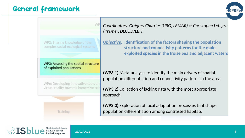WP2: Sharing knowledge of the complex social-ecological systems

WF

WP3: Assessing the spatial structure of exploited populations

WP6: Developing innovative tools and virtual reality towards immersive scie



*Coordinators. Grégory Charrier (UBO, LEMAR) & Christophe Lebigre (Ifremer, DECOD/LBH)*

*Objective.* **Identification of the factors shaping the population structure and connectivity patterns for the main exploited species in the Iroise Sea and adjacent waters**

**(WP3.1)** Meta-analysis to identify the main drivers of spatial population differentiation and connectivity patterns in the area

**(WP3.2)** Collection of lacking data with the most appropriate approach

**(WP3.3)** Exploration of local adaptation processes that shape population differentiation among contrasted habitats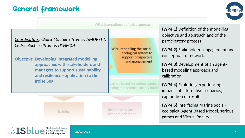

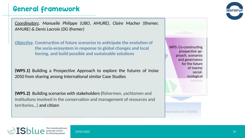*Coordinators. Manuelle Philippe (UBO, AMURE), Claire Macher (Ifremer, AMURE) & Denis Lacroix (DG Ifremer)*

*Objective.* **Construction of future scenarios to anticipate the evolution of the socio-ecosystem in response to global changes and local forcing, and build possible and sustainable solutions**

**(WP5.1)** Building a Prospective Approach to explore the futures of Iroise 2050 from sharing among International similar Case Studies

**(WP5.2)** Building scenarios with stakeholders (fishermen, yachtsmen and institutions involved in the conservation and management of resources and territories…) and citizen

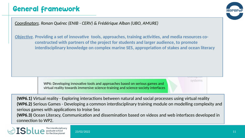

*Coordinators. Ronan Quérec (ENIB - CERV) & Frédérique Alban (UBO, AMURE)*

*Objective.* **Providing a set of innovative tools, approaches, training activities, and media resources co constructed with partners of the project for students and larger audience, to promote interdisciplinary knowledge on complex marine SES, appropriation of stakes and ocean literacy**

systems

WP6: Developing innovative tools and approaches based on serious games and virtual reality towards immersive science-training and science-society interfaces

**(WP6.1)** Virtual reality - Exploring interactions between natural and social processes using virtual reality **(WP6.2)** Serious Games - Developing a common interdisciplinary training module on modelling complexity and serious games with applications to Iroise Sea **(WP6.3)** Ocean Literacy, Communication and dissemination based on videos and web interfaces developed in



connection to WP2.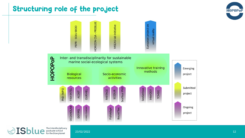## Structuring role of the project





 $\textcolor{red}{\bigcirc} \textbf{IS} \textbf{blue} \overset{\text{The interdisciplinary  
graduate school  
for the blue planet}$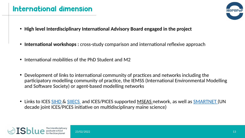## International dimension



- **High level Interdisciplinary International Advisory Board engaged in the project**
- **International workshops :** cross-study comparison and international reflexive approach
- International mobilities of the PhD Student and M2
- Development of links to international community of practices and networks including the participatory modelling community of practice, the IEMSS (International Environmental Modelling and Software Society) or agent-based modelling networks
- Links to ICES [SIHD &](https://www.ices.dk/community/groups/Pages/SIHD.aspx) SILECS and ICES/PICES supported [MSEAS n](http://mseas.net/conferences/yokohama-conference/)etwork, as well as **SMARTNET** (UN decade joint ICES/PICES initiative on multidisciplinary maine science)